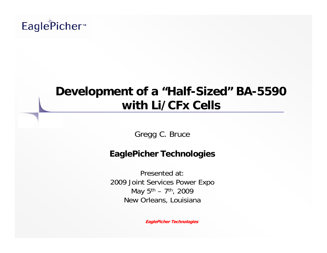# EaglePicher<sup>™</sup>

## **Development of a "Half-Sized" BA-5590 with Li/CFx Cells**

Gregg C. Bruce

#### **EaglePicher Technologies**

Presented at: 2009 Joint Services Power Expo May  $5^{th}$  – 7<sup>th</sup>, 2009 New Orleans, Louisiana

**EaglePicher Technologies**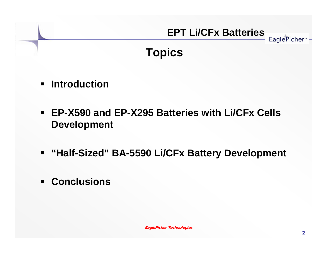### **Topics**

- $\blacksquare$ **Introduction**
- $\blacksquare$  **EP-X590 and EP-X295 Batteries with Li/CFx Cells Development**
- **"Half-Sized" BA-5590 Li/CFx Battery Development**
- **Conclusions**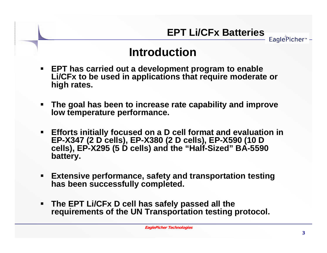**Introduction**

- $\blacksquare$  **EPT has carried out a development program to enable Li/CFx to be used in applications that require moderate or high rates.**
- $\blacksquare$  **The goal has been to increase rate capability and improve low temperature performance.**
- **Efforts initially focused on a D cell format and evaluation in EP-X347 (2 D cells), EP-X380 (2 D cells), EP-X590 (10 D cells), EP-X295 (5 D cells) and the "Half-Sized" BA-5590 battery.**
- $\blacksquare$  **Extensive performance, safety and transportation testing has been successfully completed.**
- **The EPT Li/CFx D cell has safely passed all the requirements of the UN Transportation testing protocol.**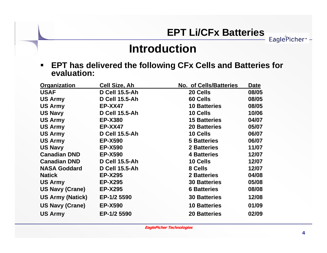**Introduction**

 **EPT has delivered the following CFx Cells and Batteries for evaluation:**

| Organization            | Cell Size, Ah         | <b>No. of Cells/Batteries</b> | Date  |
|-------------------------|-----------------------|-------------------------------|-------|
| <b>USAF</b>             | <b>D Cell 15.5-Ah</b> | 20 Cells                      | 08/05 |
| <b>US Army</b>          | <b>D Cell 15.5-Ah</b> | 60 Cells                      | 08/05 |
| <b>US Army</b>          | <b>EP-XX47</b>        | <b>10 Batteries</b>           | 08/05 |
| <b>US Navy</b>          | <b>D Cell 15.5-Ah</b> | 10 Cells                      | 10/06 |
| <b>US Army</b>          | <b>EP-X380</b>        | <b>15 Batteries</b>           | 04/07 |
| <b>US Army</b>          | <b>EP-XX47</b>        | <b>20 Batteries</b>           | 05/07 |
| <b>US Army</b>          | <b>D Cell 15.5-Ah</b> | 10 Cells                      | 06/07 |
| <b>US Army</b>          | <b>EP-X590</b>        | <b>5 Batteries</b>            | 06/07 |
| <b>US Navy</b>          | <b>EP-X590</b>        | <b>2 Batteries</b>            | 11/07 |
| <b>Canadian DND</b>     | <b>EP-X590</b>        | <b>4 Batteries</b>            | 12/07 |
| <b>Canadian DND</b>     | <b>D Cell 15.5-Ah</b> | 10 Cells                      | 12/07 |
| <b>NASA Goddard</b>     | <b>D Cell 15.5-Ah</b> | 8 Cells                       | 12/07 |
| <b>Natick</b>           | <b>EP-X295</b>        | <b>2 Batteries</b>            | 04/08 |
| <b>US Army</b>          | <b>EP-X295</b>        | <b>30 Batteries</b>           | 05/08 |
| <b>US Navy (Crane)</b>  | <b>EP-X295</b>        | <b>6 Batteries</b>            | 08/08 |
| <b>US Army (Natick)</b> | EP-1/2 5590           | <b>30 Batteries</b>           | 12/08 |
| <b>US Navy (Crane)</b>  | <b>EP-X590</b>        | <b>10 Batteries</b>           | 01/09 |
| <b>US Army</b>          | EP-1/2 5590           | <b>20 Batteries</b>           | 02/09 |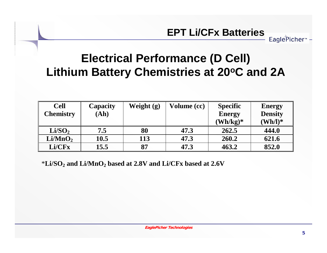## **Electrical Performance (D Cell) Lithium Battery Chemistries at 20°C and 2A**

| <b>Cell</b>         | Capacity | Weight $(g)$ | Volume (cc) | <b>Specific</b>               | <b>Energy</b>       |
|---------------------|----------|--------------|-------------|-------------------------------|---------------------|
| <b>Chemistry</b>    | (Ah)     |              |             | <b>Energy</b>                 | <b>Density</b>      |
|                     |          |              |             | $(\mathbf{Wh}/\mathbf{kg})^*$ | $(\mathbf{Wh/l})^*$ |
| Li/SO <sub>2</sub>  | 7.5      | 80           | 47.3        | 262.5                         | 444.0               |
| Li/MnO <sub>2</sub> | 10.5     | 113          | 47.3        | 260.2                         | 621.6               |
| Li/CFx              | 15.5     | 87           | 47.3        | 463.2                         | 852.0               |

\***Li/SO2 and Li/MnO2 based at 2.8V and Li/CFx based at 2.6V**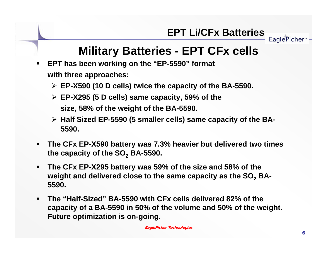EaglePicher<sup>®</sup>

## **Military Batteries - EPT CFx cells**

- $\blacksquare$  **EPT has been working on the "EP-5590" format with three approaches:**
	- **EP-X590 (10 D cells) twice the capacity of the BA-5590.**
	- **EP-X295 (5 D cells) same capacity, 59% of the size, 58% of the weight of the BA-5590.**
	- **Half Sized EP-5590 (5 smaller cells) same capacity of the BA-5590.**
- п **The CFx EP-X590 battery was 7.3% heavier but delivered two times**  the capacity of the SO<sub>2</sub> BA-5590.
- $\blacksquare$  **The CFx EP-X295 battery was 59% of the size and 58% of the**  weight and delivered close to the same capacity as the SO<sub>2</sub> BA-**5590.**
- $\blacksquare$  **The "Half-Sized" BA-5590 with CFx cells delivered 82% of the capacity of a BA-5590 in 50% of the volume and 50% of the weight. Future optimization is on-going.**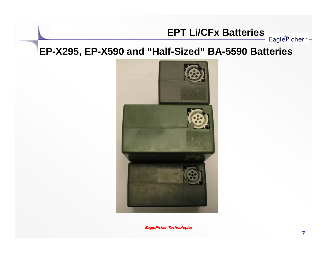EaglePicher<sup>™</sup> -

#### **EP-X295, EP-X590 and "Half-Sized" BA-5590 Batteries**



**EaglePicher Technologies**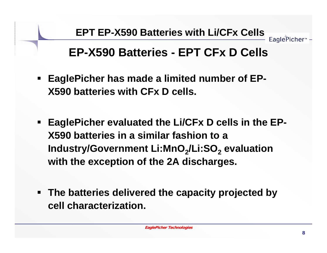## **EP-X590 Batteries - EPT CFx D Cells**

- **EaglePicher has made a limited number of EP-X590 batteries with CFx D cells.**
- $\blacksquare$  **EaglePicher evaluated the Li/CFx D cells in the EP-X590 batteries in a similar fashion to a Industry/Government Li:MnO<sub>2</sub>/Li:SO<sub>2</sub> evaluation with the exception of the 2A discharges.**
- **The batteries delivered the capacity projected by cell characterization.**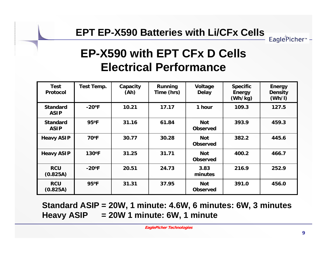#### **EPT EP-X590 Batteries with Li/CFx Cells**

# **EP-X590 with EPT CFx D Cells Electrical Performance**

| <b>Test</b><br><b>Protocol</b> | Test Temp.           | Capacity<br>(Ah) | Running<br>Time (hrs) | Voltage<br><b>Delay</b>       | <b>Specific</b><br><b>Energy</b><br>(Wh/kg) | <b>Energy</b><br><b>Density</b><br>(Wh/l) |
|--------------------------------|----------------------|------------------|-----------------------|-------------------------------|---------------------------------------------|-------------------------------------------|
| <b>Standard</b><br><b>ASIP</b> | $-20$ <sup>o</sup> F | 10.21            | 17.17                 | 1 hour                        | 109.3                                       | 127.5                                     |
| <b>Standard</b><br><b>ASIP</b> | 95°F                 | 31.16            | 61.84                 | <b>Not</b><br><b>Observed</b> | 393.9                                       | 459.3                                     |
| <b>Heavy ASIP</b>              | $70^{\circ}F$        | 30.77            | 30.28                 | <b>Not</b><br><b>Observed</b> | 382.2                                       | 445.6                                     |
| <b>Heavy ASIP</b>              | 130°F                | 31.25            | 31.71                 | <b>Not</b><br><b>Observed</b> | 400.2                                       | 466.7                                     |
| <b>RCU</b><br>(0.825A)         | $-20$ <sup>o</sup> F | 20.51            | 24.73                 | 3.83<br>minutes               | 216.9                                       | 252.9                                     |
| <b>RCU</b><br>(0.825A)         | $95^{\circ}F$        | 31.31            | 37.95                 | <b>Not</b><br><b>Observed</b> | 391.0                                       | 456.0                                     |

#### **Standard ASIP = 20W, 1 minute: 4.6W, 6 minutes: 6W, 3 minutes Heavy ASIP = 20W 1 minute: 6W, 1 minute**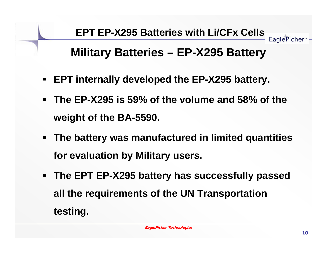

## **Military Batteries – EP-X295 Battery**

- **EPT internally developed the EP-X295 battery.**
- **The EP-X295 is 59% of the volume and 58% of the weight of the BA-5590.**
- **The battery was manufactured in limited quantities for evaluation by Military users.**
- **The EPT EP-X295 battery has successfully passed all the requirements of the UN Transportation testing.**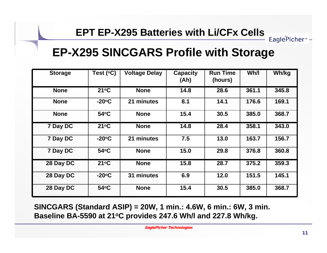### **EP-X295 SINCGARS Profile with Storage**

| <b>Storage</b> | Test $(°C)$     | <b>Voltage Delay</b> | <b>Capacity</b><br>(Ah) | <b>Run Time</b><br>(hours) | Wh/I  | Wh/kg |
|----------------|-----------------|----------------------|-------------------------|----------------------------|-------|-------|
| <b>None</b>    | $21^{\circ}$ C  | <b>None</b>          | 14.8                    | 28.6                       | 361.1 | 345.8 |
| <b>None</b>    | $-20°C$         | 21 minutes           | 8.1                     | 14.1                       | 176.6 | 169.1 |
| <b>None</b>    | 54°C            | <b>None</b>          | 15.4                    | 30.5                       | 385.0 | 368.7 |
| 7 Day DC       | $21^{\circ}$ C  | <b>None</b>          | 14.8                    | 28.4                       | 358.1 | 343.0 |
| 7 Day DC       | $-20^{\circ}$ C | 21 minutes           | 7.5                     | 13.0                       | 163.7 | 156.7 |
| 7 Day DC       | 54°C            | <b>None</b>          | 15.0                    | 29.8                       | 376.8 | 360.8 |
| 28 Day DC      | $21^{\circ}C$   | <b>None</b>          | 15.8                    | 28.7                       | 375.2 | 359.3 |
| 28 Day DC      | $-20^{\circ}$ C | 31 minutes           | 6.9                     | 12.0                       | 151.5 | 145.1 |
| 28 Day DC      | 54°C            | <b>None</b>          | 15.4                    | 30.5                       | 385.0 | 368.7 |

**SINCGARS (Standard ASIP) = 20W, 1 min.: 4.6W, 6 min.: 6W, 3 min. Baseline BA-5590 at 21oC provides 247.6 Wh/l and 227.8 Wh/kg.**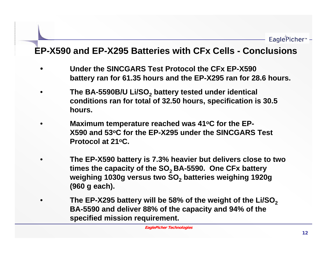#### **EP-X590 and EP-X295 Batteries with CFx Cells - Conclusions**

- **Under the SINCGARS Test Protocol the CFx EP-X590 battery ran for 61.35 hours and the EP-X295 ran for 28.6 hours.**
- The BA-5590B/U Li/SO<sub>2</sub> battery tested under identical **conditions ran for total of 32.50 hours, specification is 30.5 hours.**
- **Maximum temperature reached was 41oC for the EP-X590 and 53oC for the EP-X295 under the SINCGARS Test Protocol at 21oC.**
- **The EP-X590 battery is 7.3% heavier but delivers close to two**  times the capacity of the SO<sub>2</sub> BA-5590. One CFx battery weighing 1030g versus two SO<sub>2</sub> batteries weighing 1920g **(960 g each).**
- The EP-X295 battery will be 58% of the weight of the Li/SO<sub>2</sub> **BA-5590 and deliver 88% of the capacity and 94% of the specified mission requirement.**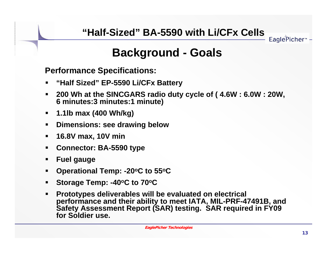EaglePicher<sup>®</sup>

## **Background - Goals**

**Performance Specifications:**

- $\blacksquare$ **"Half Sized" EP-5590 Li/CFx Battery**
- $\blacksquare$  **200 Wh at the SINCGARS radio duty cycle of ( 4.6W : 6.0W : 20W, 6 minutes:3 minutes:1 minute)**
- **1.1lb max (400 Wh/kg)**
- $\blacksquare$ **Dimensions: see drawing below**
- $\blacksquare$ **16.8V max, 10V min**
- $\blacksquare$ **Connector: BA-5590 type**
- ш **Fuel gauge**
- $\blacksquare$ **Operational Temp: -20oC to 55oC**
- $\blacksquare$ Storage Temp: -40<sup>o</sup>C to 70<sup>o</sup>C
- $\blacksquare$  **Prototypes deliverables will be evaluated on electrical performance and their ability to meet IATA, MIL-PRF-47491B, and Safety Assessment Report (SAR) testing. SAR required in FY09 for Soldier use.**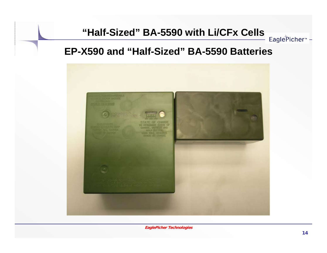#### **EP-X590 and "Half-Sized" BA-5590 Batteries**

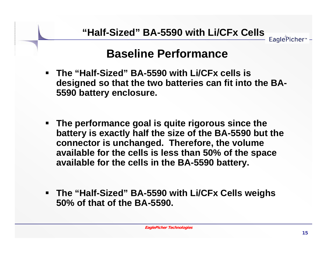### **Baseline Performance**

- **The "Half-Sized" BA-5590 with Li/CFx cells is designed so that the two batteries can fit into the BA-5590 battery enclosure.**
- $\blacksquare$  **The performance goal is quite rigorous since the battery is exactly half the size of the BA-5590 but the connector is unchanged. Therefore, the volume available for the cells is less than 50% of the space available for the cells in the BA-5590 battery.**
- $\blacksquare$  **The "Half-Sized" BA-5590 with Li/CFx Cells weighs 50% of that of the BA-5590.**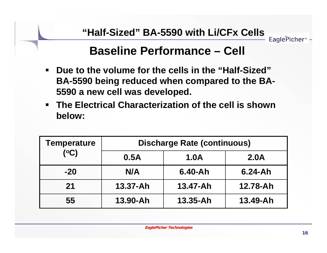### **Baseline Performance – Cell**

- $\blacksquare$  **Due to the volume for the cells in the "Half-Sized" BA-5590 being reduced when compared to the BA-5590 a new cell was developed.**
- $\blacksquare$  **The Electrical Characterization of the cell is shown below:**

| <b>Temperature</b><br>(C) | <b>Discharge Rate (continuous)</b> |              |             |  |  |
|---------------------------|------------------------------------|--------------|-------------|--|--|
|                           | 0.5A                               | <b>1.0A</b>  | <b>2.0A</b> |  |  |
| $-20$                     | N/A                                | $6.40 - Ah$  | $6.24 - Ah$ |  |  |
| 21                        | $13.37 - Ah$                       | 13.47-Ah     | 12.78-Ah    |  |  |
| 55                        | 13.90-Ah                           | $13.35 - Ah$ | 13.49-Ah    |  |  |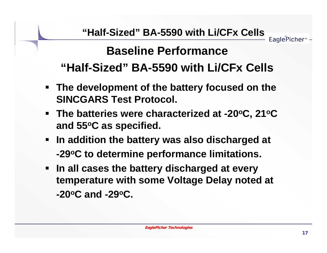# **Baseline Performance "Half-Sized" BA-5590 with Li/CFx Cells**

- **The development of the battery focused on the SINCGARS Test Protocol.**
- **The batteries were characterized at -20°C, 21°C and 55oC as specified.**
- **In addition the battery was also discharged at -29oC to determine performance limitations.**
- **In all cases the battery discharged at every temperature with some Voltage Delay noted at -20oC and -29oC.**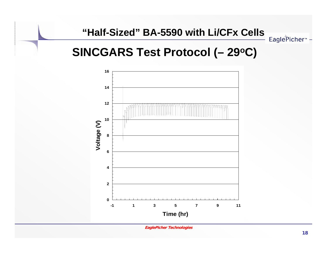EaglePicher<sup>™</sup> -

### **SINCGARS Test Protocol (– 29oC)**



**EaglePicher Technologies**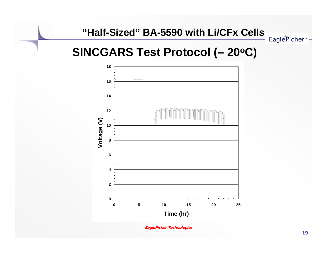### **SINCGARS Test Protocol (– 20oC)**



**EaglePicher Technologies**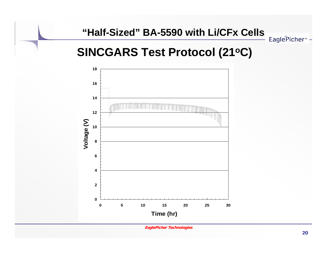EaglePicher<sup>™</sup> -

## **SINCGARS Test Protocol (21oC)**



**EaglePicher Technologies**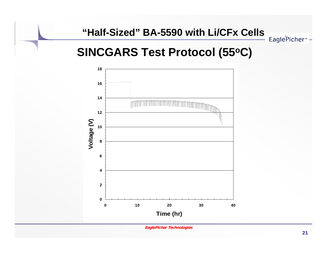## **SINCGARS Test Protocol (55oC)**



**EaglePicher Technologies**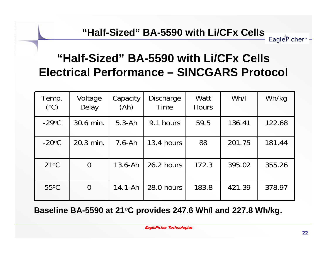## **"Half-Sized" BA-5590 with Li/CFx Cells Electrical Performance – SINCGARS Protocol**

| Temp.<br>(°C)   | Voltage<br>Delay | Capacity<br>(Ah) | <b>Discharge</b><br>Time | Watt<br><b>Hours</b> | Wh/I   | Wh/kg  |
|-----------------|------------------|------------------|--------------------------|----------------------|--------|--------|
| $-29$ °C        | 30.6 min.        | $5.3 - Ah$       | 9.1 hours                | 59.5                 | 136.41 | 122.68 |
| $-20^{\circ}$ C | 20.3 min.        | $7.6 - Ah$       | 13.4 hours               | 88                   | 201.75 | 181.44 |
| $21^{\circ}C$   | $\overline{0}$   | $13.6 - Ah$      | 26.2 hours               | 172.3                | 395.02 | 355.26 |
| $55^{\circ}$ C  | $\overline{0}$   | $14.1 - Ah$      | 28.0 hours               | 183.8                | 421.39 | 378.97 |

**Baseline BA-5590 at 21oC provides 247.6 Wh/l and 227.8 Wh/kg.**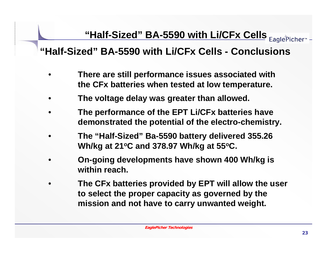#### **"Half-Sized" BA-5590 with Li/CFx Cells - Conclusions**

- **There are still performance issues associated with the CFx batteries when tested at low temperature.**
- •**The voltage delay was greater than allowed.**
- **The performance of the EPT Li/CFx batteries have demonstrated the potential of the electro-chemistry.**
- **The "Half-Sized" Ba-5590 battery delivered 355.26 Wh/kg at 21oC and 378.97 Wh/kg at 55oC.**
- **On-going developments have shown 400 Wh/kg is within reach.**
- **The CFx batteries provided by EPT will allow the user to select the proper capacity as governed by the mission and not have to carry unwanted weight.**